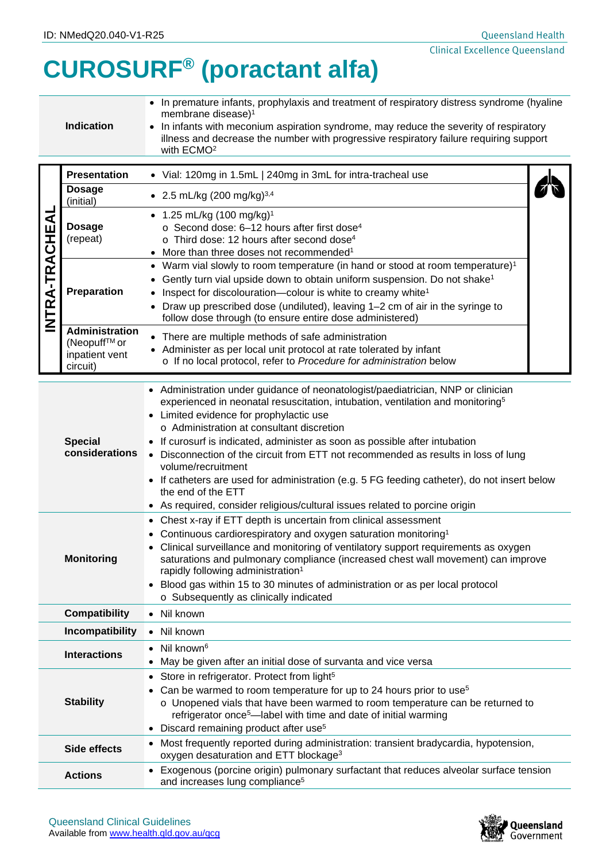## **CUROSURF® (poractant alfa)**

| <b>Indication</b> | • In premature infants, prophylaxis and treatment of respiratory distress syndrome (hyaline<br>membrane disease) <sup>1</sup><br>• In infants with meconium aspiration syndrome, may reduce the severity of respiratory<br>illness and decrease the number with progressive respiratory failure requiring support<br>with ECMO <sup>2</sup> |
|-------------------|---------------------------------------------------------------------------------------------------------------------------------------------------------------------------------------------------------------------------------------------------------------------------------------------------------------------------------------------|
|-------------------|---------------------------------------------------------------------------------------------------------------------------------------------------------------------------------------------------------------------------------------------------------------------------------------------------------------------------------------------|

|                                            | <b>Presentation</b>                                                 | Vial: 120mg in 1.5mL   240mg in 3mL for intra-tracheal use<br>$\bullet$                                                                                                                                                                                                                                                                                                                                                             |  |  |
|--------------------------------------------|---------------------------------------------------------------------|-------------------------------------------------------------------------------------------------------------------------------------------------------------------------------------------------------------------------------------------------------------------------------------------------------------------------------------------------------------------------------------------------------------------------------------|--|--|
| Щ<br>こと<br>この<br>⋖<br>-TR<br>⋖<br>$\alpha$ | <b>Dosage</b><br>(initial)                                          | • 2.5 mL/kg (200 mg/kg) <sup>3,4</sup>                                                                                                                                                                                                                                                                                                                                                                                              |  |  |
|                                            | Dosage<br>(repeat)                                                  | • 1.25 mL/kg $(100 \text{ mg/kg})^1$<br>$\circ$ Second dose: 6-12 hours after first dose <sup>4</sup><br>$\circ$ Third dose: 12 hours after second dose <sup>4</sup><br>More than three doses not recommended <sup>1</sup>                                                                                                                                                                                                          |  |  |
|                                            | Preparation                                                         | • Warm vial slowly to room temperature (in hand or stood at room temperature) <sup>1</sup><br>Gently turn vial upside down to obtain uniform suspension. Do not shake <sup>1</sup><br>$\bullet$<br>Inspect for discolouration—colour is white to creamy white <sup>1</sup><br>$\bullet$<br>Draw up prescribed dose (undiluted), leaving 1–2 cm of air in the syringe to<br>follow dose through (to ensure entire dose administered) |  |  |
|                                            | <b>Administration</b><br>(Neopuff™ or<br>inpatient vent<br>circuit) | • There are multiple methods of safe administration<br>• Administer as per local unit protocol at rate tolerated by infant<br>o If no local protocol, refer to Procedure for administration below                                                                                                                                                                                                                                   |  |  |

| <b>Special</b><br>considerations | • Administration under guidance of neonatologist/paediatrician, NNP or clinician<br>experienced in neonatal resuscitation, intubation, ventilation and monitoring <sup>5</sup><br>• Limited evidence for prophylactic use<br>o Administration at consultant discretion<br>If curosurf is indicated, administer as soon as possible after intubation<br>• Disconnection of the circuit from ETT not recommended as results in loss of lung<br>volume/recruitment<br>• If catheters are used for administration (e.g. 5 FG feeding catheter), do not insert below<br>the end of the ETT |  |  |  |  |
|----------------------------------|---------------------------------------------------------------------------------------------------------------------------------------------------------------------------------------------------------------------------------------------------------------------------------------------------------------------------------------------------------------------------------------------------------------------------------------------------------------------------------------------------------------------------------------------------------------------------------------|--|--|--|--|
|                                  | • As required, consider religious/cultural issues related to porcine origin                                                                                                                                                                                                                                                                                                                                                                                                                                                                                                           |  |  |  |  |
| <b>Monitoring</b>                | • Chest x-ray if ETT depth is uncertain from clinical assessment<br>• Continuous cardiorespiratory and oxygen saturation monitoring <sup>1</sup><br>Clinical surveillance and monitoring of ventilatory support requirements as oxygen<br>saturations and pulmonary compliance (increased chest wall movement) can improve<br>rapidly following administration <sup>1</sup><br>• Blood gas within 15 to 30 minutes of administration or as per local protocol<br>o Subsequently as clinically indicated                                                                               |  |  |  |  |
| <b>Compatibility</b>             | • Nil known                                                                                                                                                                                                                                                                                                                                                                                                                                                                                                                                                                           |  |  |  |  |
| Incompatibility                  | • Nil known                                                                                                                                                                                                                                                                                                                                                                                                                                                                                                                                                                           |  |  |  |  |
| <b>Interactions</b>              | $\bullet$ Nil known <sup>6</sup><br>• May be given after an initial dose of survanta and vice versa                                                                                                                                                                                                                                                                                                                                                                                                                                                                                   |  |  |  |  |
| <b>Stability</b>                 | • Store in refrigerator. Protect from light <sup>5</sup><br>Can be warmed to room temperature for up to 24 hours prior to use <sup>5</sup><br>o Unopened vials that have been warmed to room temperature can be returned to<br>refrigerator once <sup>5</sup> —label with time and date of initial warming<br>• Discard remaining product after use <sup>5</sup>                                                                                                                                                                                                                      |  |  |  |  |
| <b>Side effects</b>              | • Most frequently reported during administration: transient bradycardia, hypotension,<br>oxygen desaturation and ETT blockage <sup>3</sup>                                                                                                                                                                                                                                                                                                                                                                                                                                            |  |  |  |  |
| <b>Actions</b>                   | • Exogenous (porcine origin) pulmonary surfactant that reduces alveolar surface tension<br>and increases lung compliance <sup>5</sup>                                                                                                                                                                                                                                                                                                                                                                                                                                                 |  |  |  |  |